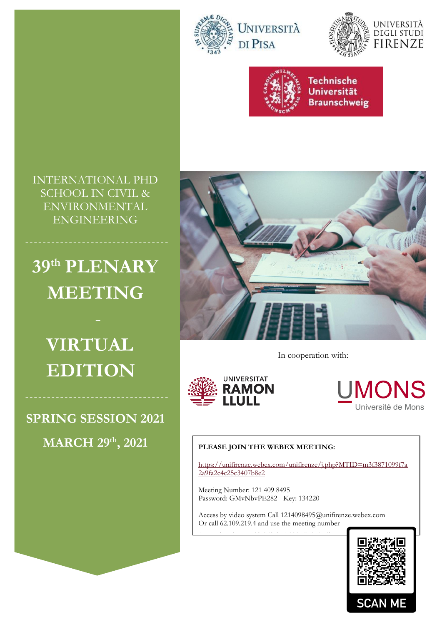





INTERNATIONAL PHD SCHOOL IN CIVIL & ENVIRONMENTAL ENGINEERING

# **39th PLENARY MEETING**

**VIRTUAL EDITION**

**SPRING SESSION 2021 MARCH 29th**



In cooperation with:



**UMONS** Université de Mons

#### **, 2021 PLEASE JOIN THE WEBEX MEETING:**

[https://unifirenze.webex.com/unifirenze/j.php?MTID=m3f3871099f7a](https://unifirenze.webex.com/unifirenze/j.php?MTID=m3f3871099f7a2a9fa2c4c25c3407b8e2) [2a9fa2c4c25c3407b8e2](https://unifirenze.webex.com/unifirenze/j.php?MTID=m3f3871099f7a2a9fa2c4c25c3407b8e2)

Meeting Number: 121 409 8495 Password: GMvNbvPE282 - Key: 134220

Access by phone +39-069-974-8087 Italy Toll

Access by video system Call 1214098495@unifirenze.webex.com Or call 62.109.219.4 and use the meeting number